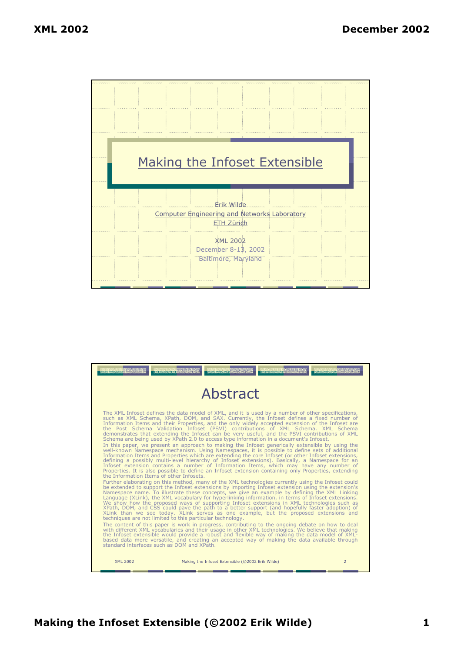

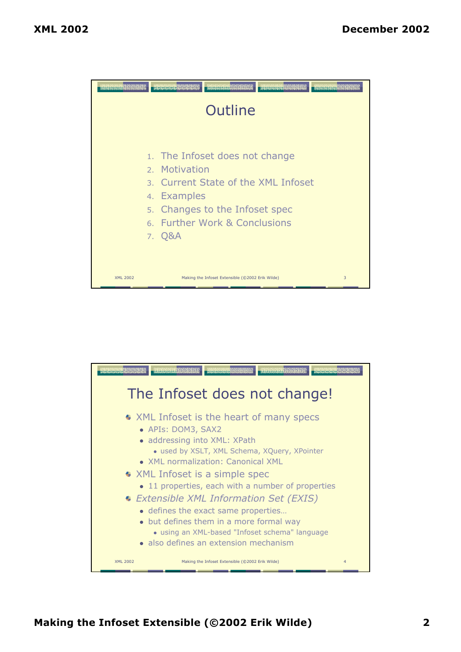

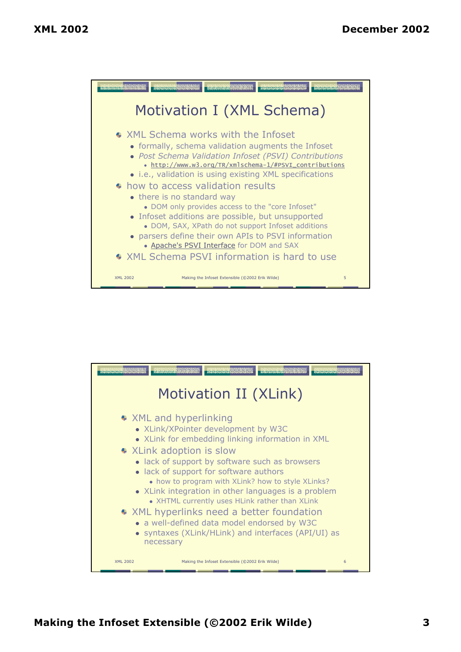

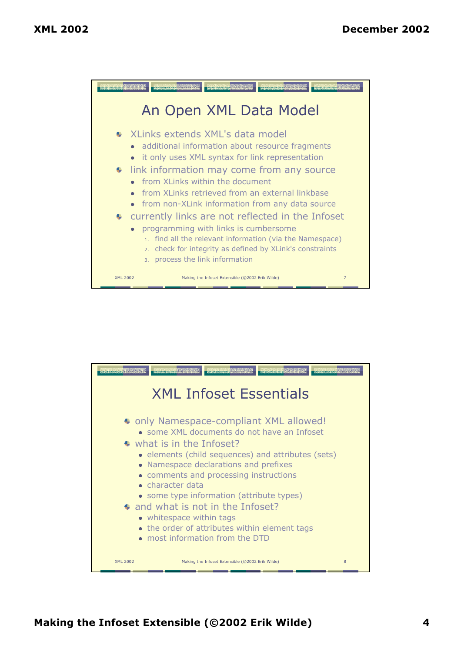

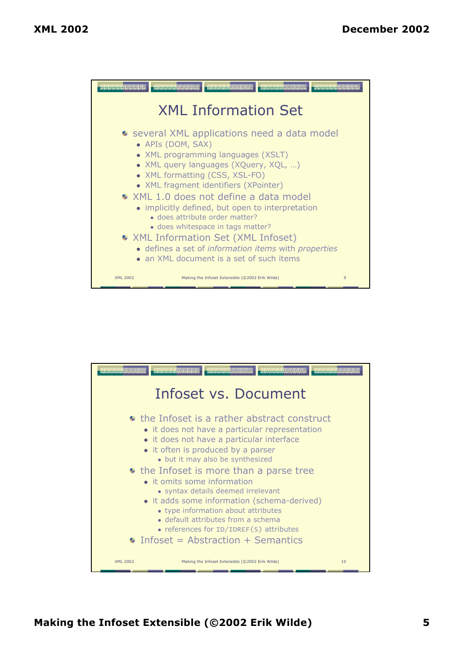

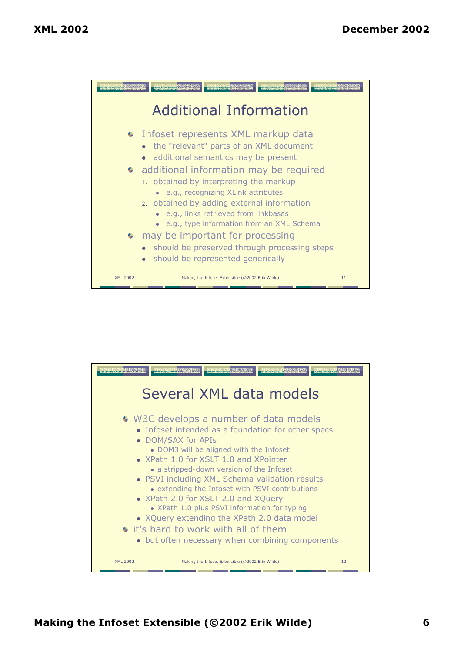

| <b>Children Although Street, and</b> | <b>PERSONALIST AND ALAS</b><br>maranarara de de de<br><b>CARACARAS AND AREA</b><br>Program and program and program and<br>Several XML data models                                                                                                                                                                                                                                                                                                                                                                                                                                        |    |
|--------------------------------------|------------------------------------------------------------------------------------------------------------------------------------------------------------------------------------------------------------------------------------------------------------------------------------------------------------------------------------------------------------------------------------------------------------------------------------------------------------------------------------------------------------------------------------------------------------------------------------------|----|
|                                      | • W3C develops a number of data models<br>• Infoset intended as a foundation for other specs<br>• DOM/SAX for APIs<br>• DOM3 will be aligned with the Infoset<br>• XPath 1.0 for XSLT 1.0 and XPointer<br>• a stripped-down version of the Infoset<br>• PSVI including XML Schema validation results<br>• extending the Infoset with PSVI contributions<br>• XPath 2.0 for XSLT 2.0 and XQuery<br>• XPath 1.0 plus PSVI information for typing<br>• XQuery extending the XPath 2.0 data model<br>• it's hard to work with all of them<br>• but often necessary when combining components |    |
| XML 2002                             | Making the Infoset Extensible (@2002 Erik Wilde)                                                                                                                                                                                                                                                                                                                                                                                                                                                                                                                                         | 12 |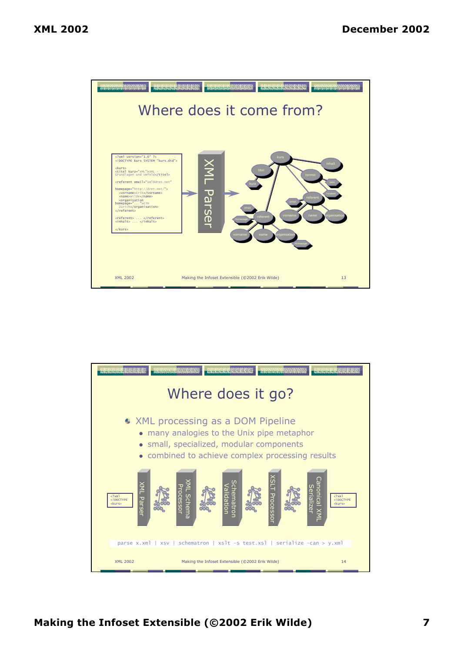

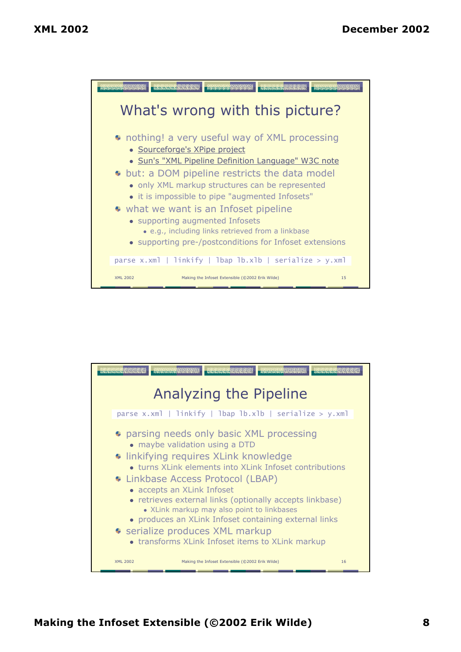

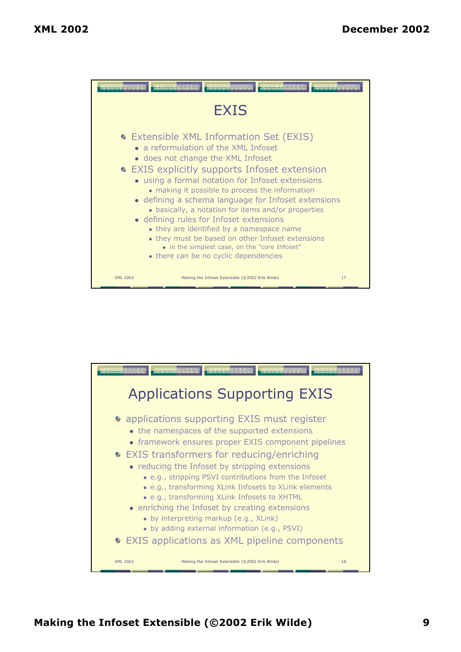

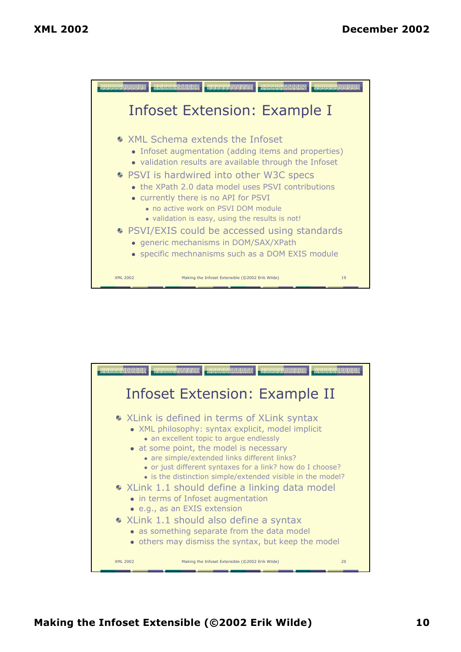

| <b>Commonwealth Control</b> | preservance a la fact<br><b>A Separation of Section</b><br>Revenement of the transmission                                                                                                                                                                                                                                                                         |    |
|-----------------------------|-------------------------------------------------------------------------------------------------------------------------------------------------------------------------------------------------------------------------------------------------------------------------------------------------------------------------------------------------------------------|----|
|                             | Infoset Extension: Example II                                                                                                                                                                                                                                                                                                                                     |    |
|                             | • XLink is defined in terms of XLink syntax<br>• XML philosophy: syntax explicit, model implicit<br>• an excellent topic to argue endlessly<br>• at some point, the model is necessary<br>• are simple/extended links different links?<br>• or just different syntaxes for a link? how do I choose?<br>• is the distinction simple/extended visible in the model? |    |
|                             | • XLink 1.1 should define a linking data model<br>• in terms of Infoset augmentation<br>• e.g., as an EXIS extension                                                                                                                                                                                                                                              |    |
|                             | • XLink 1.1 should also define a syntax<br>• as something separate from the data model<br>• others may dismiss the syntax, but keep the model                                                                                                                                                                                                                     |    |
| <b>XML 2002</b>             | Making the Infoset Extensible (@2002 Erik Wilde)                                                                                                                                                                                                                                                                                                                  | 20 |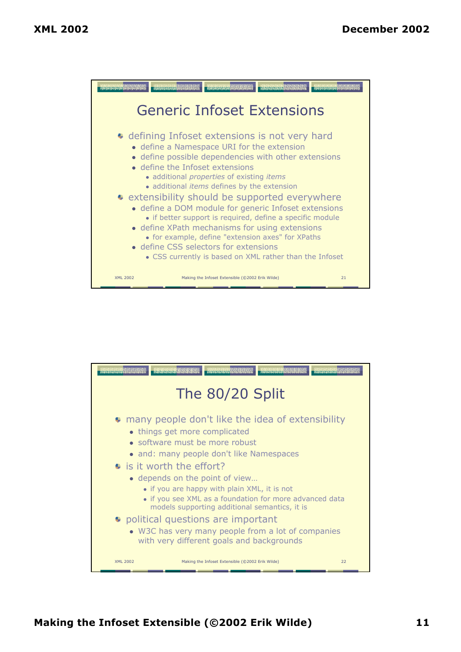